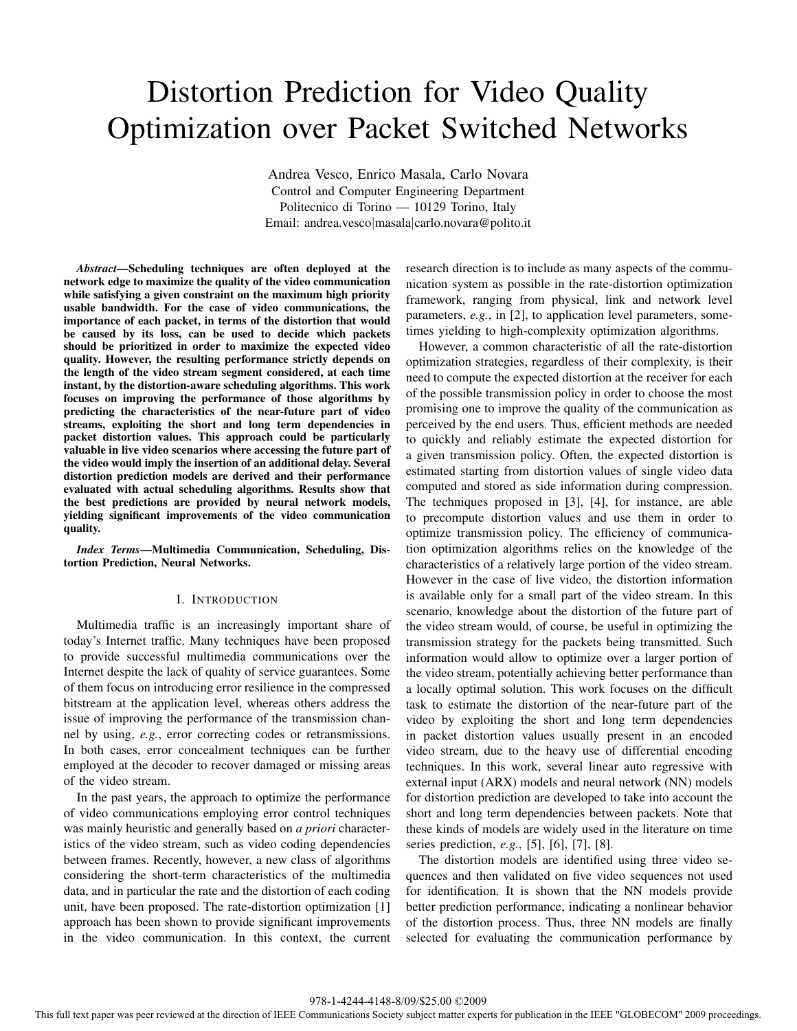# Distortion Prediction for Video Quality Optimization over Packet Switched Networks

Andrea Vesco, Enrico Masala, Carlo Novara Control and Computer Engineering Department Politecnico di Torino — 10129 Torino, Italy Email: andrea.vesco|masala|carlo.novara@polito.it

*Abstract***—Scheduling techniques are often deployed at the network edge to maximize the quality of the video communication while satisfying a given constraint on the maximum high priority usable bandwidth. For the case of video communications, the importance of each packet, in terms of the distortion that would be caused by its loss, can be used to decide which packets should be prioritized in order to maximize the expected video quality. However, the resulting performance strictly depends on the length of the video stream segment considered, at each time instant, by the distortion-aware scheduling algorithms. This work focuses on improving the performance of those algorithms by predicting the characteristics of the near-future part of video streams, exploiting the short and long term dependencies in packet distortion values. This approach could be particularly valuable in live video scenarios where accessing the future part of the video would imply the insertion of an additional delay. Several distortion prediction models are derived and their performance evaluated with actual scheduling algorithms. Results show that the best predictions are provided by neural network models, yielding significant improvements of the video communication quality.**

*Index Terms***—Multimedia Communication, Scheduling, Distortion Prediction, Neural Networks.**

# I. INTRODUCTION

Multimedia traffic is an increasingly important share of today's Internet traffic. Many techniques have been proposed to provide successful multimedia communications over the Internet despite the lack of quality of service guarantees. Some of them focus on introducing error resilience in the compressed bitstream at the application level, whereas others address the issue of improving the performance of the transmission channel by using, *e.g.*, error correcting codes or retransmissions. In both cases, error concealment techniques can be further employed at the decoder to recover damaged or missing areas of the video stream.

In the past years, the approach to optimize the performance of video communications employing error control techniques was mainly heuristic and generally based on *a priori* characteristics of the video stream, such as video coding dependencies between frames. Recently, however, a new class of algorithms considering the short-term characteristics of the multimedia data, and in particular the rate and the distortion of each coding unit, have been proposed. The rate-distortion optimization [1] approach has been shown to provide significant improvements in the video communication. In this context, the current research direction is to include as many aspects of the communication system as possible in the rate-distortion optimization framework, ranging from physical, link and network level parameters, *e.g.*, in [2], to application level parameters, sometimes yielding to high-complexity optimization algorithms.

However, a common characteristic of all the rate-distortion optimization strategies, regardless of their complexity, is their need to compute the expected distortion at the receiver for each of the possible transmission policy in order to choose the most promising one to improve the quality of the communication as perceived by the end users. Thus, efficient methods are needed to quickly and reliably estimate the expected distortion for a given transmission policy. Often, the expected distortion is estimated starting from distortion values of single video data computed and stored as side information during compression. The techniques proposed in [3], [4], for instance, are able to precompute distortion values and use them in order to optimize transmission policy. The efficiency of communication optimization algorithms relies on the knowledge of the characteristics of a relatively large portion of the video stream. However in the case of live video, the distortion information is available only for a small part of the video stream. In this scenario, knowledge about the distortion of the future part of the video stream would, of course, be useful in optimizing the transmission strategy for the packets being transmitted. Such information would allow to optimize over a larger portion of the video stream, potentially achieving better performance than a locally optimal solution. This work focuses on the difficult task to estimate the distortion of the near-future part of the video by exploiting the short and long term dependencies in packet distortion values usually present in an encoded video stream, due to the heavy use of differential encoding techniques. In this work, several linear auto regressive with external input (ARX) models and neural network (NN) models for distortion prediction are developed to take into account the short and long term dependencies between packets. Note that these kinds of models are widely used in the literature on time series prediction, *e.g.*, [5], [6], [7], [8].

The distortion models are identified using three video sequences and then validated on five video sequences not used for identification. It is shown that the NN models provide better prediction performance, indicating a nonlinear behavior of the distortion process. Thus, three NN models are finally selected for evaluating the communication performance by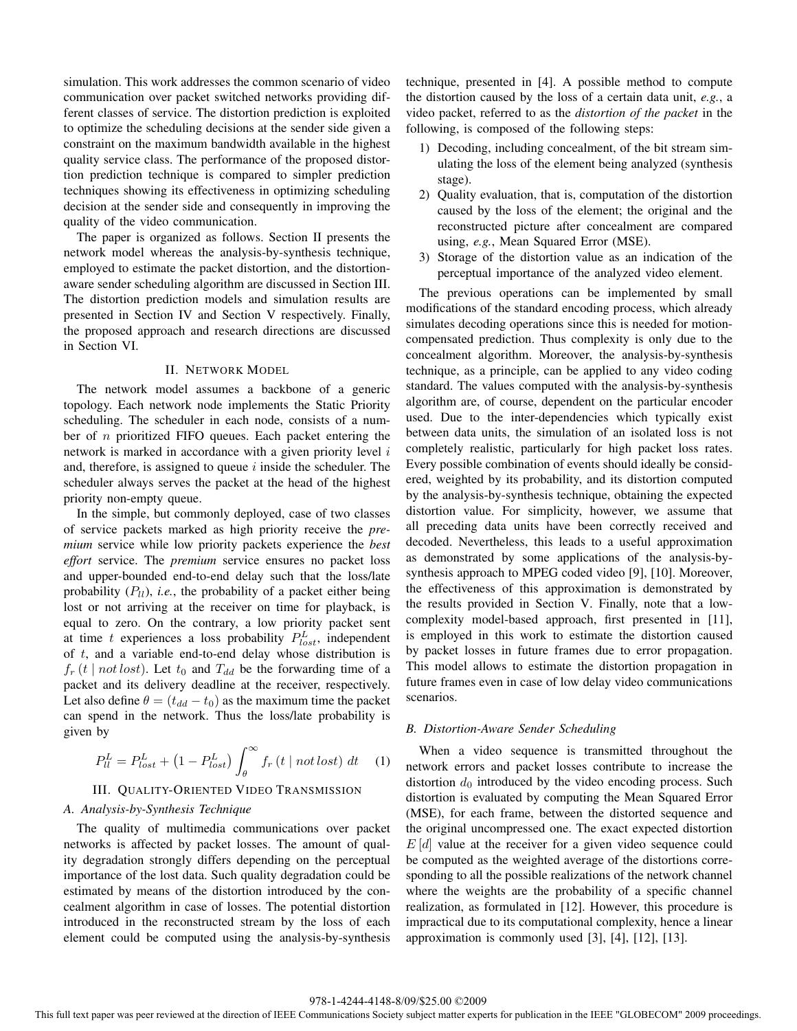simulation. This work addresses the common scenario of video communication over packet switched networks providing different classes of service. The distortion prediction is exploited to optimize the scheduling decisions at the sender side given a constraint on the maximum bandwidth available in the highest quality service class. The performance of the proposed distortion prediction technique is compared to simpler prediction techniques showing its effectiveness in optimizing scheduling decision at the sender side and consequently in improving the quality of the video communication.

The paper is organized as follows. Section II presents the network model whereas the analysis-by-synthesis technique, employed to estimate the packet distortion, and the distortionaware sender scheduling algorithm are discussed in Section III. The distortion prediction models and simulation results are presented in Section IV and Section V respectively. Finally, the proposed approach and research directions are discussed in Section VI.

#### II. NETWORK MODEL

The network model assumes a backbone of a generic topology. Each network node implements the Static Priority scheduling. The scheduler in each node, consists of a number of  $n$  prioritized FIFO queues. Each packet entering the network is marked in accordance with a given priority level  $i$ and, therefore, is assigned to queue  $i$  inside the scheduler. The scheduler always serves the packet at the head of the highest priority non-empty queue.

In the simple, but commonly deployed, case of two classes of service packets marked as high priority receive the *premium* service while low priority packets experience the *best effort* service. The *premium* service ensures no packet loss and upper-bounded end-to-end delay such that the loss/late probability  $(P_{ll})$ , *i.e.*, the probability of a packet either being lost or not arriving at the receiver on time for playback, is equal to zero. On the contrary, a low priority packet sent at time t experiences a loss probability  $P_{lost}^{L}$ , independent of  $t$ , and a variable end-to-end delay whose distribution is  $f_r(t \mid not \text{ lost})$ . Let  $t_0$  and  $T_{dd}$  be the forwarding time of a packet and its delivery deadline at the receiver, respectively. Let also define  $\theta = (t_{dd} - t_0)$  as the maximum time the packet can spend in the network. Thus the loss/late probability is given by

$$
P_{ll}^{L} = P_{lost}^{L} + \left(1 - P_{lost}^{L}\right) \int_{\theta}^{\infty} f_{r}\left(t \mid not \, lost\right) \, dt \tag{1}
$$

# III. QUALITY-ORIENTED VIDEO TRANSMISSION

# *A. Analysis-by-Synthesis Technique*

The quality of multimedia communications over packet networks is affected by packet losses. The amount of quality degradation strongly differs depending on the perceptual importance of the lost data. Such quality degradation could be estimated by means of the distortion introduced by the concealment algorithm in case of losses. The potential distortion introduced in the reconstructed stream by the loss of each element could be computed using the analysis-by-synthesis technique, presented in [4]. A possible method to compute the distortion caused by the loss of a certain data unit, *e.g.*, a video packet, referred to as the *distortion of the packet* in the following, is composed of the following steps:

- 1) Decoding, including concealment, of the bit stream simulating the loss of the element being analyzed (synthesis stage).
- 2) Quality evaluation, that is, computation of the distortion caused by the loss of the element; the original and the reconstructed picture after concealment are compared using, *e.g.*, Mean Squared Error (MSE).
- 3) Storage of the distortion value as an indication of the perceptual importance of the analyzed video element.

The previous operations can be implemented by small modifications of the standard encoding process, which already simulates decoding operations since this is needed for motioncompensated prediction. Thus complexity is only due to the concealment algorithm. Moreover, the analysis-by-synthesis technique, as a principle, can be applied to any video coding standard. The values computed with the analysis-by-synthesis algorithm are, of course, dependent on the particular encoder used. Due to the inter-dependencies which typically exist between data units, the simulation of an isolated loss is not completely realistic, particularly for high packet loss rates. Every possible combination of events should ideally be considered, weighted by its probability, and its distortion computed by the analysis-by-synthesis technique, obtaining the expected distortion value. For simplicity, however, we assume that all preceding data units have been correctly received and decoded. Nevertheless, this leads to a useful approximation as demonstrated by some applications of the analysis-bysynthesis approach to MPEG coded video [9], [10]. Moreover, the effectiveness of this approximation is demonstrated by the results provided in Section V. Finally, note that a lowcomplexity model-based approach, first presented in [11], is employed in this work to estimate the distortion caused by packet losses in future frames due to error propagation. This model allows to estimate the distortion propagation in future frames even in case of low delay video communications scenarios.

## *B. Distortion-Aware Sender Scheduling*

When a video sequence is transmitted throughout the network errors and packet losses contribute to increase the distortion  $d_0$  introduced by the video encoding process. Such distortion is evaluated by computing the Mean Squared Error (MSE), for each frame, between the distorted sequence and the original uncompressed one. The exact expected distortion  $E[d]$  value at the receiver for a given video sequence could be computed as the weighted average of the distortions corresponding to all the possible realizations of the network channel where the weights are the probability of a specific channel realization, as formulated in [12]. However, this procedure is impractical due to its computational complexity, hence a linear approximation is commonly used [3], [4], [12], [13].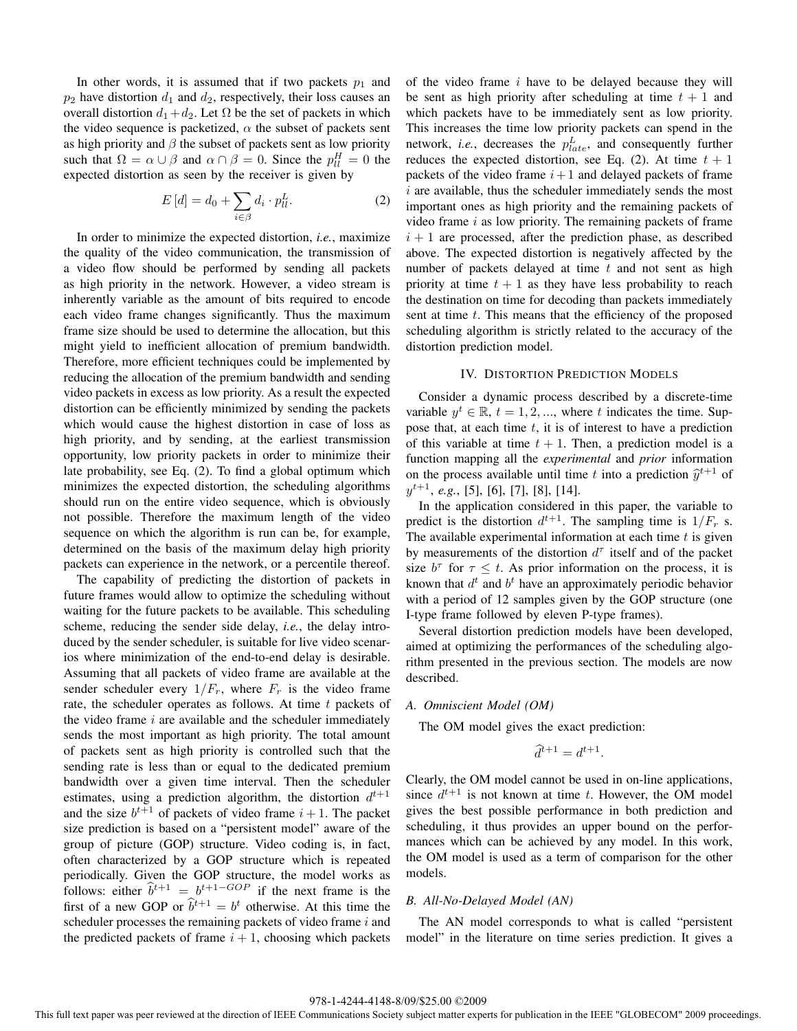In other words, it is assumed that if two packets  $p_1$  and  $p_2$  have distortion  $d_1$  and  $d_2$ , respectively, their loss causes an overall distortion  $d_1+d_2$ . Let  $\Omega$  be the set of packets in which the video sequence is packetized,  $\alpha$  the subset of packets sent as high priority and  $\beta$  the subset of packets sent as low priority such that  $\Omega = \alpha \cup \beta$  and  $\alpha \cap \beta = 0$ . Since the  $p_{ll}^H = 0$  the expected distortion as seen by the receiver is given by expected distortion as seen by the receiver is given by

$$
E\left[d\right] = d_0 + \sum_{i \in \beta} d_i \cdot p_{ll}^L. \tag{2}
$$

In order to minimize the expected distortion, *i.e.*, maximize the quality of the video communication, the transmission of a video flow should be performed by sending all packets as high priority in the network. However, a video stream is inherently variable as the amount of bits required to encode each video frame changes significantly. Thus the maximum frame size should be used to determine the allocation, but this might yield to inefficient allocation of premium bandwidth. Therefore, more efficient techniques could be implemented by reducing the allocation of the premium bandwidth and sending video packets in excess as low priority. As a result the expected distortion can be efficiently minimized by sending the packets which would cause the highest distortion in case of loss as high priority, and by sending, at the earliest transmission opportunity, low priority packets in order to minimize their late probability, see Eq. (2). To find a global optimum which minimizes the expected distortion, the scheduling algorithms should run on the entire video sequence, which is obviously not possible. Therefore the maximum length of the video sequence on which the algorithm is run can be, for example, determined on the basis of the maximum delay high priority packets can experience in the network, or a percentile thereof.

The capability of predicting the distortion of packets in future frames would allow to optimize the scheduling without waiting for the future packets to be available. This scheduling scheme, reducing the sender side delay, *i.e.*, the delay introduced by the sender scheduler, is suitable for live video scenarios where minimization of the end-to-end delay is desirable. Assuming that all packets of video frame are available at the sender scheduler every  $1/F_r$ , where  $F_r$  is the video frame rate, the scheduler operates as follows. At time  $t$  packets of the video frame  $i$  are available and the scheduler immediately sends the most important as high priority. The total amount of packets sent as high priority is controlled such that the sending rate is less than or equal to the dedicated premium bandwidth over a given time interval. Then the scheduler estimates, using a prediction algorithm, the distortion  $d^{t+1}$ and the size  $b^{t+1}$  of packets of video frame  $i+1$ . The packet size prediction is based on a "persistent model" aware of the group of picture (GOP) structure. Video coding is, in fact, often characterized by a GOP structure which is repeated periodically. Given the GOP structure, the model works as follows: either  $\hat{b}^{t+1} = b^{t+1-GOP}$  if the next frame is the first of a new GOP or  $\hat{b}^{t+1} = b^t$  otherwise. At this time the first of a new GOP or  $\hat{b}^{t+1} = b^t$  otherwise. At this time the scheduler processes the remaining packets of video frame  $i$  and the predicted packets of frame  $i + 1$ , choosing which packets of the video frame i have to be delayed because they will be sent as high priority after scheduling at time  $t + 1$  and which packets have to be immediately sent as low priority. This increases the time low priority packets can spend in the network, *i.e.*, decreases the  $p_{late}^L$ , and consequently further reduces the expected distortion, see Eq. (2). At time  $t + 1$ packets of the video frame  $i+1$  and delayed packets of frame  $i$  are available, thus the scheduler immediately sends the most important ones as high priority and the remaining packets of video frame  $i$  as low priority. The remaining packets of frame  $i + 1$  are processed, after the prediction phase, as described above. The expected distortion is negatively affected by the number of packets delayed at time  $t$  and not sent as high priority at time  $t + 1$  as they have less probability to reach the destination on time for decoding than packets immediately sent at time  $t$ . This means that the efficiency of the proposed scheduling algorithm is strictly related to the accuracy of the distortion prediction model.

## IV. DISTORTION PREDICTION MODELS

Consider a dynamic process described by a discrete-time variable  $y^t \in \mathbb{R}$ ,  $t = 1, 2, \dots$ , where t indicates the time. Suppose that, at each time  $t$ , it is of interest to have a prediction of this variable at time  $t + 1$ . Then, a prediction model is a function mapping all the *experimental* and *prior* information on the process available until time t into a prediction  $\hat{u}^{t+1}$  of  $y^{t+1}$ , *e.g.*, [5], [6], [7], [8], [14].

In the application considered in this paper, the variable to predict is the distortion  $d^{t+1}$ . The sampling time is  $1/F_r$  s. The available experimental information at each time  $t$  is given by measurements of the distortion  $d^{\tau}$  itself and of the packet size  $b^{\tau}$  for  $\tau \leq t$ . As prior information on the process, it is known that  $d^t$  and  $b^t$  have an approximately periodic behavior with a period of 12 samples given by the GOP structure (one I-type frame followed by eleven P-type frames).

Several distortion prediction models have been developed, aimed at optimizing the performances of the scheduling algorithm presented in the previous section. The models are now described.

#### *A. Omniscient Model (OM)*

The OM model gives the exact prediction:

$$
\widehat{d}^{t+1} = d^{t+1}.
$$

Clearly, the OM model cannot be used in on-line applications, since  $d^{t+1}$  is not known at time t. However, the OM model gives the best possible performance in both prediction and scheduling, it thus provides an upper bound on the performances which can be achieved by any model. In this work, the OM model is used as a term of comparison for the other models.

## *B. All-No-Delayed Model (AN)*

The AN model corresponds to what is called "persistent model" in the literature on time series prediction. It gives a

#### 978-1-4244-4148-8/09/\$25.00 ©2009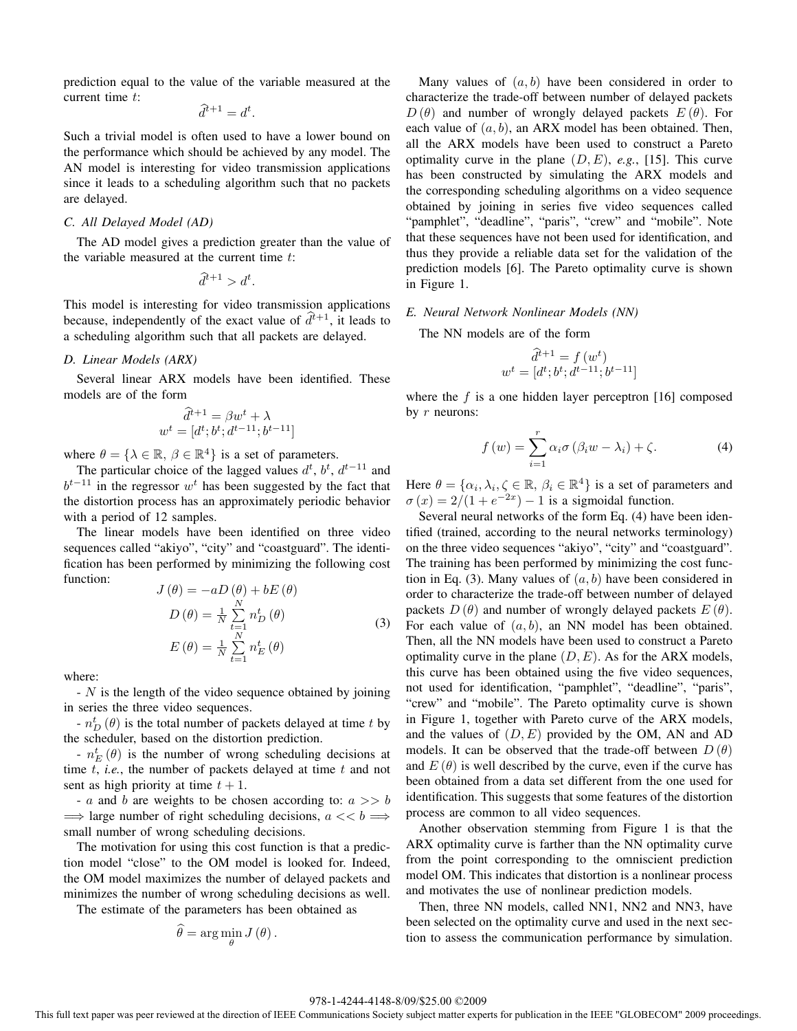prediction equal to the value of the variable measured at the current time t:

$$
\widehat{d}^{t+1} = d^t.
$$

Such a trivial model is often used to have a lower bound on the performance which should be achieved by any model. The AN model is interesting for video transmission applications since it leads to a scheduling algorithm such that no packets are delayed.

# *C. All Delayed Model (AD)*

The AD model gives a prediction greater than the value of the variable measured at the current time  $t$ :

$$
\widehat{d}^{t+1} > d^t.
$$

This model is interesting for video transmission applications because, independently of the exact value of  $\hat{d}^{t+1}$ , it leads to a scheduling algorithm such that all packets are delayed.

# *D. Linear Models (ARX)*

Several linear ARX models have been identified. These models are of the form

$$
\widehat{d}^{t+1} = \beta w^t + \lambda
$$

$$
w^t = [d^t; b^t; d^{t-11}; b^{t-11}]
$$

where  $\theta = \{ \lambda \in \mathbb{R}, \beta \in \mathbb{R}^4 \}$  is a set of parameters.

The particular choice of the lagged values  $d^t$ ,  $b^t$ ,  $d^{t-11}$  and  $b^{t-11}$  in the regressor w<sup>t</sup> has been suggested by the fact that the distortion process has an approximately periodic behavior with a period of 12 samples.

The linear models have been identified on three video sequences called "akiyo", "city" and "coastguard". The identification has been performed by minimizing the following cost function:  $D^{(e)}$  +  $D^{(e)}$ 

$$
J(\theta) = -aD(\theta) + bE(\theta)
$$
  
\n
$$
D(\theta) = \frac{1}{N} \sum_{\substack{t=1 \ N}}^{N} n_D^t(\theta)
$$
  
\n
$$
E(\theta) = \frac{1}{N} \sum_{t=1}^{N} n_E^t(\theta)
$$
\n(3)

where:

- N is the length of the video sequence obtained by joining in series the three video sequences.

 $- n_D^t(\theta)$  is the total number of packets delayed at time t by the scheduler, based on the distortion prediction.

 $-\frac{n_E^t}{E}(\theta)$  is the number of wrong scheduling decisions at time  $t$ , *i.e.*, the number of packets delayed at time  $t$  and not sent as high priority at time  $t + 1$ .

- a and b are weights to be chosen according to:  $a \gg b$  $\implies$  large number of right scheduling decisions,  $a \ll b \implies$ small number of wrong scheduling decisions.

The motivation for using this cost function is that a prediction model "close" to the OM model is looked for. Indeed, the OM model maximizes the number of delayed packets and minimizes the number of wrong scheduling decisions as well.

The estimate of the parameters has been obtained as

$$
\widehat{\theta} = \arg\min_{\theta} J(\theta).
$$

Many values of  $(a, b)$  have been considered in order to characterize the trade-off between number of delayed packets  $D(\theta)$  and number of wrongly delayed packets  $E(\theta)$ . For each value of  $(a, b)$ , an ARX model has been obtained. Then, all the ARX models have been used to construct a Pareto optimality curve in the plane  $(D, E)$ , *e.g.*, [15]. This curve has been constructed by simulating the ARX models and the corresponding scheduling algorithms on a video sequence obtained by joining in series five video sequences called "pamphlet", "deadline", "paris", "crew" and "mobile". Note that these sequences have not been used for identification, and thus they provide a reliable data set for the validation of the prediction models [6]. The Pareto optimality curve is shown in Figure 1.

## *E. Neural Network Nonlinear Models (NN)*

The NN models are of the form

$$
\hat{d}^{t+1} = f(w^t) \n w^t = [d^t; b^t; d^{t-11}; b^{t-11}]
$$

where the  $f$  is a one hidden layer perceptron [16] composed by  $r$  neurons:

$$
f(w) = \sum_{i=1}^{r} \alpha_i \sigma(\beta_i w - \lambda_i) + \zeta.
$$
 (4)

Here  $\theta = {\alpha_i, \lambda_i, \zeta \in \mathbb{R}, \beta_i \in \mathbb{R}^4}$  is a set of parameters and  $\sigma(x)=2/(1 + e^{-2x}) - 1$  is a sigmoidal function.

Several neural networks of the form Eq. (4) have been identified (trained, according to the neural networks terminology) on the three video sequences "akiyo", "city" and "coastguard". The training has been performed by minimizing the cost function in Eq. (3). Many values of  $(a, b)$  have been considered in order to characterize the trade-off between number of delayed packets  $D(\theta)$  and number of wrongly delayed packets  $E(\theta)$ . For each value of  $(a, b)$ , an NN model has been obtained. Then, all the NN models have been used to construct a Pareto optimality curve in the plane  $(D, E)$ . As for the ARX models, this curve has been obtained using the five video sequences, not used for identification, "pamphlet", "deadline", "paris", "crew" and "mobile". The Pareto optimality curve is shown in Figure 1, together with Pareto curve of the ARX models, and the values of  $(D, E)$  provided by the OM, AN and AD models. It can be observed that the trade-off between  $D(\theta)$ and  $E(\theta)$  is well described by the curve, even if the curve has been obtained from a data set different from the one used for identification. This suggests that some features of the distortion process are common to all video sequences.

Another observation stemming from Figure 1 is that the ARX optimality curve is farther than the NN optimality curve from the point corresponding to the omniscient prediction model OM. This indicates that distortion is a nonlinear process and motivates the use of nonlinear prediction models.

Then, three NN models, called NN1, NN2 and NN3, have been selected on the optimality curve and used in the next section to assess the communication performance by simulation.

## 978-1-4244-4148-8/09/\$25.00 ©2009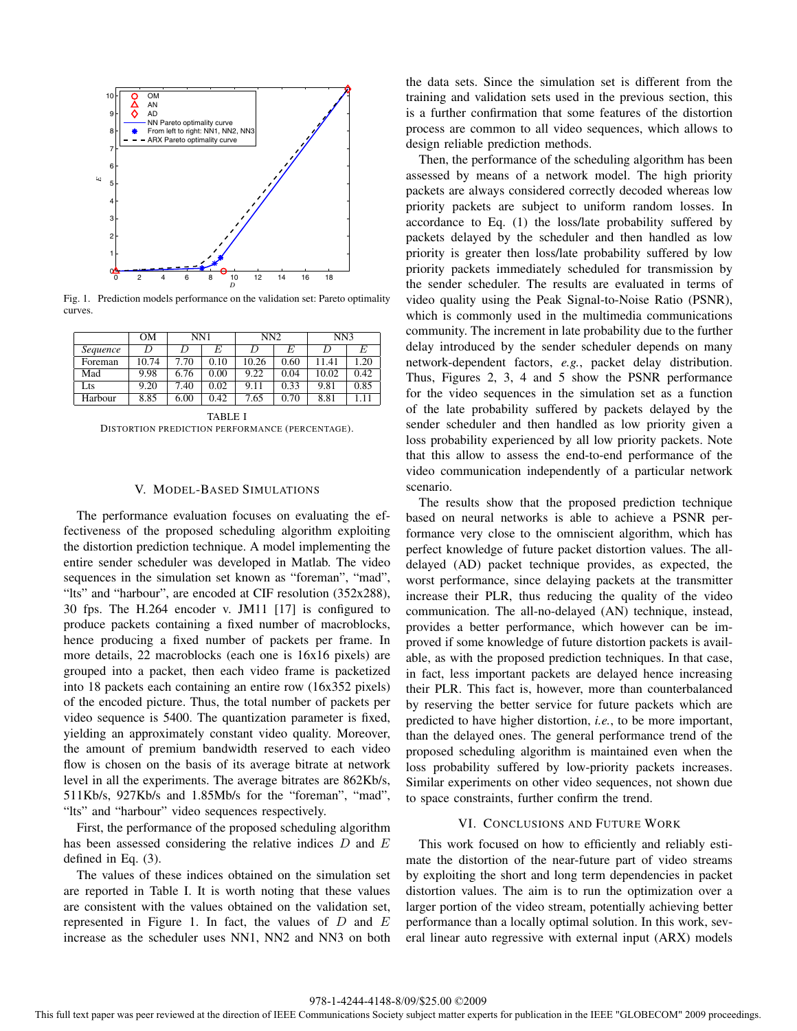

Fig. 1. Prediction models performance on the validation set: Pareto optimality curves.

|          | OМ    | NN1  |      | NN2   |      | NN3   |      |
|----------|-------|------|------|-------|------|-------|------|
|          |       |      |      |       |      |       |      |
| Sequence |       |      | E    | I)    | E    |       | E    |
| Foreman  | 10.74 | 7.70 | 0.10 | 10.26 | 0.60 | 11.41 | 1.20 |
| Mad      | 9.98  | 6.76 | 0.00 | 9.22  | 0.04 | 10.02 | 0.42 |
| Lts      | 9.20  | 7.40 | 0.02 | 9.11  | 0.33 | 9.81  | 0.85 |
| Harbour  | 8.85  | 6.00 | 0.42 | 7.65  | 0.70 | 8.81  | 1.11 |

TABLE I DISTORTION PREDICTION PERFORMANCE (PERCENTAGE).

## V. MODEL-BASED SIMULATIONS

The performance evaluation focuses on evaluating the effectiveness of the proposed scheduling algorithm exploiting the distortion prediction technique. A model implementing the entire sender scheduler was developed in Matlab. The video sequences in the simulation set known as "foreman", "mad", "lts" and "harbour", are encoded at CIF resolution (352x288), 30 fps. The H.264 encoder v. JM11 [17] is configured to produce packets containing a fixed number of macroblocks, hence producing a fixed number of packets per frame. In more details, 22 macroblocks (each one is 16x16 pixels) are grouped into a packet, then each video frame is packetized into 18 packets each containing an entire row (16x352 pixels) of the encoded picture. Thus, the total number of packets per video sequence is 5400. The quantization parameter is fixed, yielding an approximately constant video quality. Moreover, the amount of premium bandwidth reserved to each video flow is chosen on the basis of its average bitrate at network level in all the experiments. The average bitrates are 862Kb/s, 511Kb/s, 927Kb/s and 1.85Mb/s for the "foreman", "mad", "Its" and "harbour" video sequences respectively.

First, the performance of the proposed scheduling algorithm has been assessed considering the relative indices  $D$  and  $E$ defined in Eq. (3).

The values of these indices obtained on the simulation set are reported in Table I. It is worth noting that these values are consistent with the values obtained on the validation set, represented in Figure 1. In fact, the values of  $D$  and  $E$ increase as the scheduler uses NN1, NN2 and NN3 on both the data sets. Since the simulation set is different from the training and validation sets used in the previous section, this is a further confirmation that some features of the distortion process are common to all video sequences, which allows to design reliable prediction methods.

Then, the performance of the scheduling algorithm has been assessed by means of a network model. The high priority packets are always considered correctly decoded whereas low priority packets are subject to uniform random losses. In accordance to Eq. (1) the loss/late probability suffered by packets delayed by the scheduler and then handled as low priority is greater then loss/late probability suffered by low priority packets immediately scheduled for transmission by the sender scheduler. The results are evaluated in terms of video quality using the Peak Signal-to-Noise Ratio (PSNR), which is commonly used in the multimedia communications community. The increment in late probability due to the further delay introduced by the sender scheduler depends on many network-dependent factors, *e.g.*, packet delay distribution. Thus, Figures 2, 3, 4 and 5 show the PSNR performance for the video sequences in the simulation set as a function of the late probability suffered by packets delayed by the sender scheduler and then handled as low priority given a loss probability experienced by all low priority packets. Note that this allow to assess the end-to-end performance of the video communication independently of a particular network scenario.

The results show that the proposed prediction technique based on neural networks is able to achieve a PSNR performance very close to the omniscient algorithm, which has perfect knowledge of future packet distortion values. The alldelayed (AD) packet technique provides, as expected, the worst performance, since delaying packets at the transmitter increase their PLR, thus reducing the quality of the video communication. The all-no-delayed (AN) technique, instead, provides a better performance, which however can be improved if some knowledge of future distortion packets is available, as with the proposed prediction techniques. In that case, in fact, less important packets are delayed hence increasing their PLR. This fact is, however, more than counterbalanced by reserving the better service for future packets which are predicted to have higher distortion, *i.e.*, to be more important, than the delayed ones. The general performance trend of the proposed scheduling algorithm is maintained even when the loss probability suffered by low-priority packets increases. Similar experiments on other video sequences, not shown due to space constraints, further confirm the trend.

# VI. CONCLUSIONS AND FUTURE WORK

This work focused on how to efficiently and reliably estimate the distortion of the near-future part of video streams by exploiting the short and long term dependencies in packet distortion values. The aim is to run the optimization over a larger portion of the video stream, potentially achieving better performance than a locally optimal solution. In this work, several linear auto regressive with external input (ARX) models